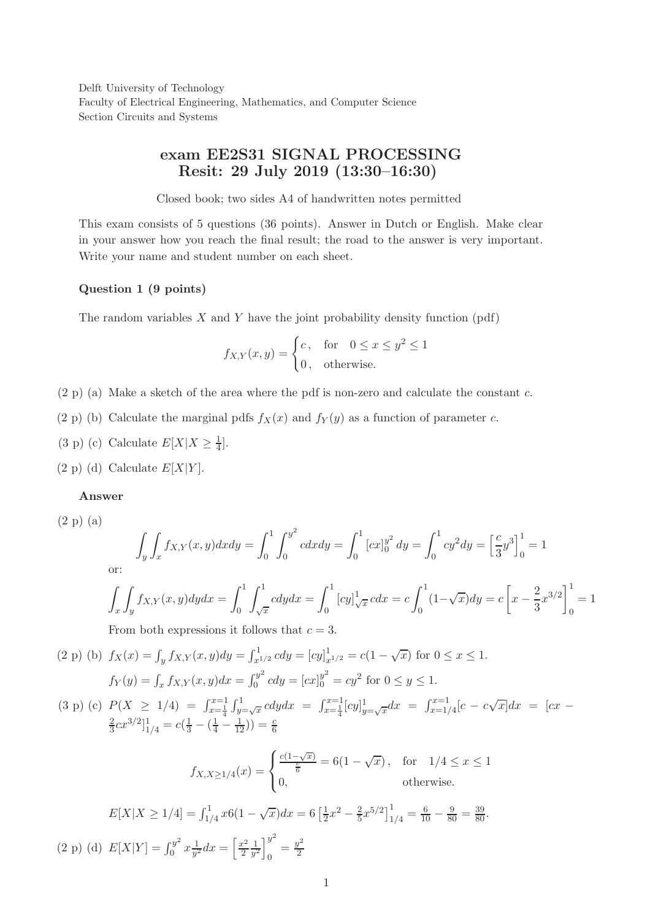Delft University of Technology Faculty of Electrical Engineering, Mathematics, and Computer Science Section Circuits and Systems

# exam EE2S31 SIGNAL PROCESSING Resit: 29 July 2019 (13:30–16:30)

Closed book; two sides A4 of handwritten notes permitted

This exam consists of 5 questions (36 points). Answer in Dutch or English. Make clear in your answer how you reach the final result; the road to the answer is very important. Write your name and student number on each sheet.

### Question 1 (9 points)

The random variables  $X$  and  $Y$  have the joint probability density function (pdf)

$$
f_{X,Y}(x,y) = \begin{cases} c, & \text{for} \quad 0 \le x \le y^2 \le 1\\ 0, & \text{otherwise.} \end{cases}
$$

- $(2 p)$  (a) Make a sketch of the area where the pdf is non-zero and calculate the constant c.
- (2 p) (b) Calculate the marginal pdfs  $f_X(x)$  and  $f_Y(y)$  as a function of parameter c.
- (3 p) (c) Calculate  $E[X|X \ge \frac{1}{4}]$ .
- $(2 \text{ p})$  (d) Calculate  $E[X|Y]$ .

### Answer

(2 p) (a)

$$
\int_{y} \int_{x} f_{X,Y}(x,y) dx dy = \int_{0}^{1} \int_{0}^{y^{2}} c dx dy = \int_{0}^{1} [cx]_{0}^{y^{2}} dy = \int_{0}^{1} cy^{2} dy = \left[\frac{c}{3}y^{3}\right]_{0}^{1} = 1
$$

or:

$$
\int_{x} \int_{y} f_{X,Y}(x, y) dy dx = \int_{0}^{1} \int_{\sqrt{x}}^{1} c dy dx = \int_{0}^{1} [cy]_{\sqrt{x}}^{1} c dx = c \int_{0}^{1} (1 - \sqrt{x}) dy = c \left[ x - \frac{2}{3} x^{3/2} \right]_{0}^{1} = 1
$$

From both expressions it follows that  $c = 3$ .

(2 p) (b) 
$$
f_X(x) = \int_y f_{X,Y}(x, y) dy = \int_{x^{1/2}}^1 c dy = [cy]_{x^{1/2}}^1 = c(1 - \sqrt{x})
$$
 for  $0 \le x \le 1$ .  
\n $f_Y(y) = \int_x f_{X,Y}(x, y) dx = \int_0^{y^2} c dy = [cx]_0^{y^2} = cy^2$  for  $0 \le y \le 1$ .

(3 p) (c)  $P(X \ge 1/4) = \int_{x=\frac{1}{4}}^{x=1} \int_{y=\sqrt{x}}^{1} cdy dx = \int_{x=\frac{1}{4}}^{x=1} [cy]_{y}^{1}$  $\int_{y=\sqrt{x}}^{1} dx = \int_{x=1/4}^{x=1} [c - c\sqrt{x}] dx = [cx - c\sqrt{x}]$ 2  $\frac{2}{3}cx^{3/2}$ ] $\frac{1}{1/4} = c(\frac{1}{3} - (\frac{1}{4} - \frac{1}{12})) = \frac{c}{6}$ 

$$
f_{X,X \ge 1/4}(x) = \begin{cases} \frac{c(1-\sqrt{x})}{\frac{c}{6}} = 6(1-\sqrt{x}), & \text{for } 1/4 \le x \le 1\\ 0, & \text{otherwise.} \end{cases}
$$

$$
E[X|X \ge 1/4] = \int_{1/4}^{1} x 6(1 - \sqrt{x}) dx = 6 \left[ \frac{1}{2} x^2 - \frac{2}{5} x^{5/2} \right]_{1/4}^{1} = \frac{6}{10} - \frac{9}{80} = \frac{39}{80}.
$$
  
(2 p) (d)  $E[X|Y] = \int_{0}^{y^2} x \frac{1}{y^2} dx = \left[ \frac{x^2}{2} \frac{1}{y^2} \right]_{0}^{y^2} = \frac{y^2}{2}$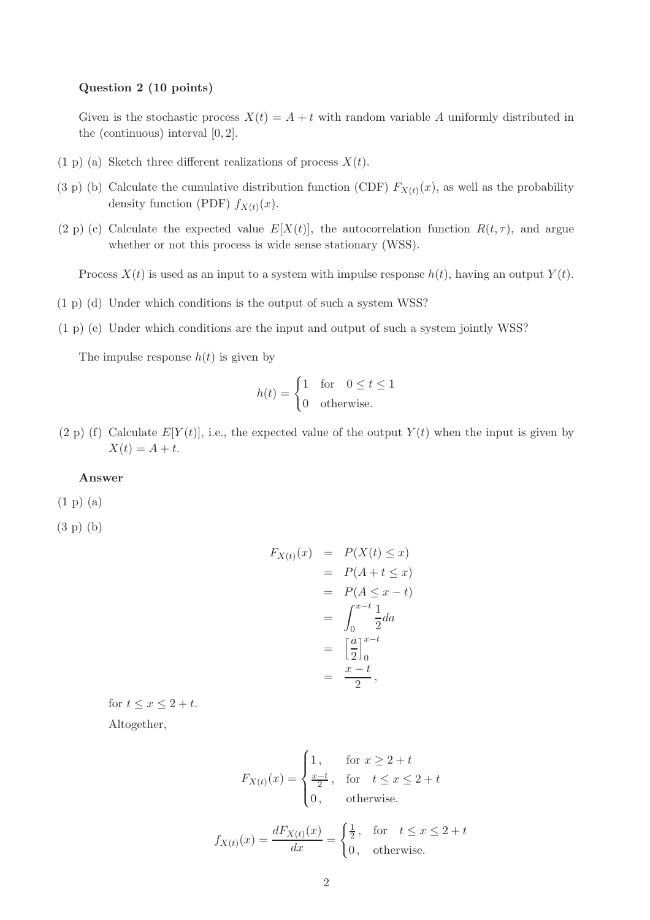#### Question 2 (10 points)

Given is the stochastic process  $X(t) = A + t$  with random variable A uniformly distributed in the (continuous) interval [0, 2].

- (1 p) (a) Sketch three different realizations of process  $X(t)$ .
- (3 p) (b) Calculate the cumulative distribution function (CDF)  $F_{X(t)}(x)$ , as well as the probability density function (PDF)  $f_{X(t)}(x)$ .
- (2 p) (c) Calculate the expected value  $E[X(t)]$ , the autocorrelation function  $R(t, \tau)$ , and argue whether or not this process is wide sense stationary (WSS).

Process  $X(t)$  is used as an input to a system with impulse response  $h(t)$ , having an output  $Y(t)$ .

- (1 p) (d) Under which conditions is the output of such a system WSS?
- (1 p) (e) Under which conditions are the input and output of such a system jointly WSS?

The impulse response  $h(t)$  is given by

$$
h(t) = \begin{cases} 1 & \text{for} \quad 0 \le t \le 1 \\ 0 & \text{otherwise.} \end{cases}
$$

(2 p) (f) Calculate  $E[Y(t)]$ , i.e., the expected value of the output  $Y(t)$  when the input is given by  $X(t) = A + t.$ 

#### Answer

- (1 p) (a)
- (3 p) (b)

$$
F_{X(t)}(x) = P(X(t) \le x)
$$
  
=  $P(A + t \le x)$   
=  $P(A \le x - t)$   
=  $\int_0^{x-t} \frac{1}{2} da$   
=  $\left[\frac{a}{2}\right]_0^{x-t}$   
=  $\frac{x-t}{2}$ ,

for  $t \leq x \leq 2 + t$ .

Altogether,

$$
F_{X(t)}(x) = \begin{cases} 1, & \text{for } x \ge 2 + t \\ \frac{x - t}{2}, & \text{for } t \le x \le 2 + t \\ 0, & \text{otherwise.} \end{cases}
$$

$$
f_{X(t)}(x) = \frac{dF_{X(t)}(x)}{dx} = \begin{cases} \frac{1}{2}, & \text{for } t \le x \le 2+t\\ 0, & \text{otherwise.} \end{cases}
$$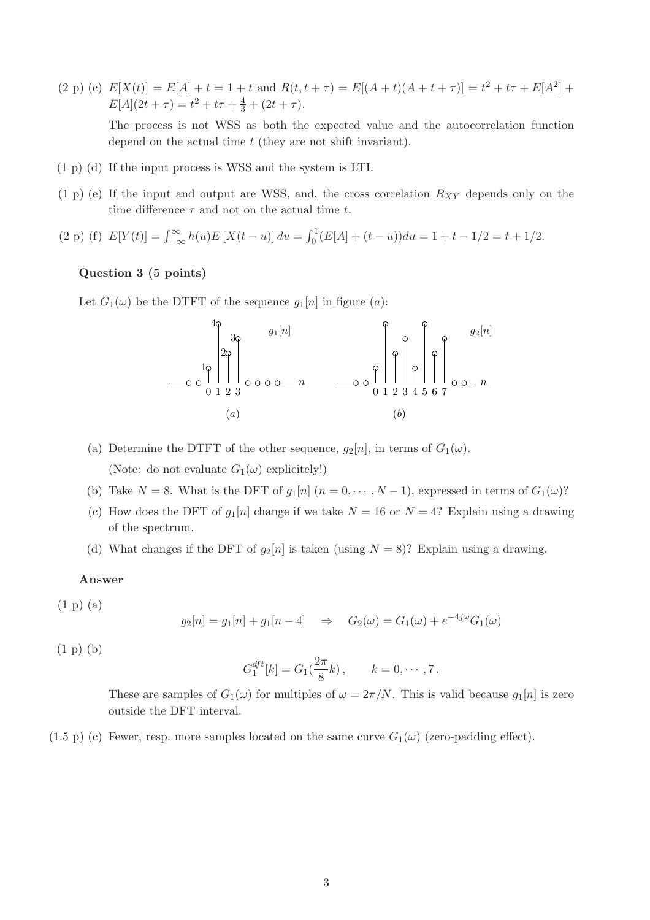$(2 \text{ p}) (c) E[X(t)] = E[A] + t = 1 + t \text{ and } R(t, t + \tau) = E[(A + t)(A + t + \tau)] = t^2 + t\tau + E[A^2] +$  $E[A](2t+\tau) = t^2 + t\tau + \frac{4}{3} + (2t + \tau).$ 

The process is not WSS as both the expected value and the autocorrelation function depend on the actual time t (they are not shift invariant).

- (1 p) (d) If the input process is WSS and the system is LTI.
- $(1 p)$  (e) If the input and output are WSS, and, the cross correlation  $R_{XY}$  depends only on the time difference  $\tau$  and not on the actual time t.
- (2 p) (f)  $E[Y(t)] = \int_{-\infty}^{\infty} h(u)E[X(t-u)] du = \int_0^1 (E[A] + (t-u)) du = 1 + t 1/2 = t + 1/2.$

### Question 3 (5 points)

Let  $G_1(\omega)$  be the DTFT of the sequence  $g_1[n]$  in figure  $(a)$ :



- (a) Determine the DTFT of the other sequence,  $g_2[n]$ , in terms of  $G_1(\omega)$ . (Note: do not evaluate  $G_1(\omega)$  explicitely!)
- (b) Take  $N = 8$ . What is the DFT of  $g_1[n]$   $(n = 0, \dots, N-1)$ , expressed in terms of  $G_1(\omega)$ ?
- (c) How does the DFT of  $g_1[n]$  change if we take  $N = 16$  or  $N = 4$ ? Explain using a drawing of the spectrum.
- (d) What changes if the DFT of  $g_2[n]$  is taken (using  $N = 8$ )? Explain using a drawing.

# Answer

(1 p) (a)

$$
g_2[n] = g_1[n] + g_1[n-4] \Rightarrow G_2(\omega) = G_1(\omega) + e^{-4j\omega}G_1(\omega)
$$

(1 p) (b)

$$
G_1^{dft}[k] = G_1(\frac{2\pi}{8}k), \qquad k = 0, \cdots, 7.
$$

These are samples of  $G_1(\omega)$  for multiples of  $\omega = 2\pi/N$ . This is valid because  $g_1[n]$  is zero outside the DFT interval.

(1.5 p) (c) Fewer, resp. more samples located on the same curve  $G_1(\omega)$  (zero-padding effect).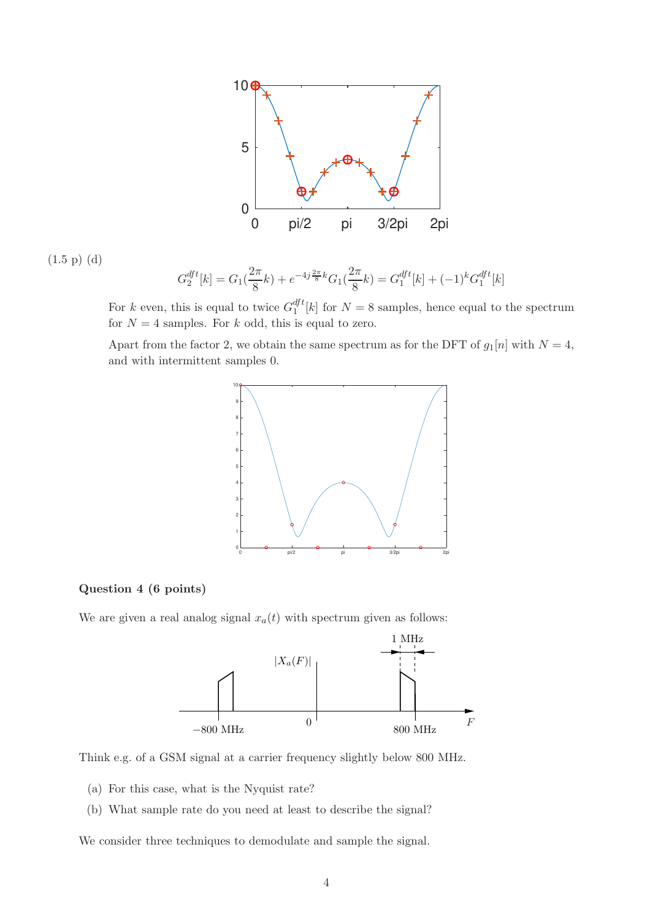

$$
(1.5 \text{ p}) (d)
$$

$$
G_2^{dft}[k] = G_1(\frac{2\pi}{8}k) + e^{-4j\frac{2\pi}{8}k}G_1(\frac{2\pi}{8}k) = G_1^{dft}[k] + (-1)^k G_1^{dft}[k]
$$

For k even, this is equal to twice  $G_1^{dft}$  $\binom{a}{1}[k]$  for  $N = 8$  samples, hence equal to the spectrum for  $N = 4$  samples. For k odd, this is equal to zero.

Apart from the factor 2, we obtain the same spectrum as for the DFT of  $g_1[n]$  with  $N = 4$ , and with intermittent samples 0.



# Question 4 (6 points)

We are given a real analog signal  $x_a(t)$  with spectrum given as follows:



Think e.g. of a GSM signal at a carrier frequency slightly below 800 MHz.

- (a) For this case, what is the Nyquist rate?
- (b) What sample rate do you need at least to describe the signal?

We consider three techniques to demodulate and sample the signal.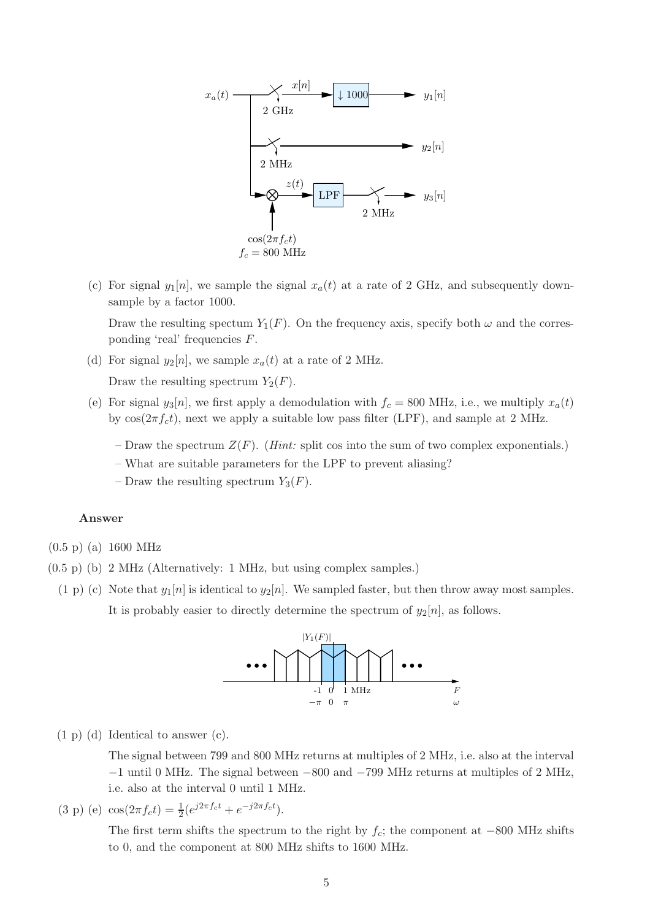

(c) For signal  $y_1[n]$ , we sample the signal  $x_a(t)$  at a rate of 2 GHz, and subsequently downsample by a factor 1000.

Draw the resulting spectum  $Y_1(F)$ . On the frequency axis, specify both  $\omega$  and the corresponding 'real' frequencies F.

(d) For signal  $y_2[n]$ , we sample  $x_a(t)$  at a rate of 2 MHz.

Draw the resulting spectrum  $Y_2(F)$ .

- (e) For signal  $y_3[n]$ , we first apply a demodulation with  $f_c = 800$  MHz, i.e., we multiply  $x_a(t)$ by  $cos(2\pi f_c t)$ , next we apply a suitable low pass filter (LPF), and sample at 2 MHz.
	- Draw the spectrum  $Z(F)$ . (*Hint:* split cos into the sum of two complex exponentials.)
	- What are suitable parameters for the LPF to prevent aliasing?
	- Draw the resulting spectrum  $Y_3(F)$ .

## Answer

(0.5 p) (a) 1600 MHz

- (0.5 p) (b) 2 MHz (Alternatively: 1 MHz, but using complex samples.)
- (1 p) (c) Note that  $y_1[n]$  is identical to  $y_2[n]$ . We sampled faster, but then throw away most samples. It is probably easier to directly determine the spectrum of  $y_2[n]$ , as follows.



(1 p) (d) Identical to answer (c).

The signal between 799 and 800 MHz returns at multiples of 2 MHz, i.e. also at the interval −1 until 0 MHz. The signal between −800 and −799 MHz returns at multiples of 2 MHz, i.e. also at the interval 0 until 1 MHz.

(3 p) (e)  $\cos(2\pi f_c t) = \frac{1}{2} (e^{j2\pi f_c t} + e^{-j2\pi f_c t}).$ 

The first term shifts the spectrum to the right by  $f_c$ ; the component at −800 MHz shifts to 0, and the component at 800 MHz shifts to 1600 MHz.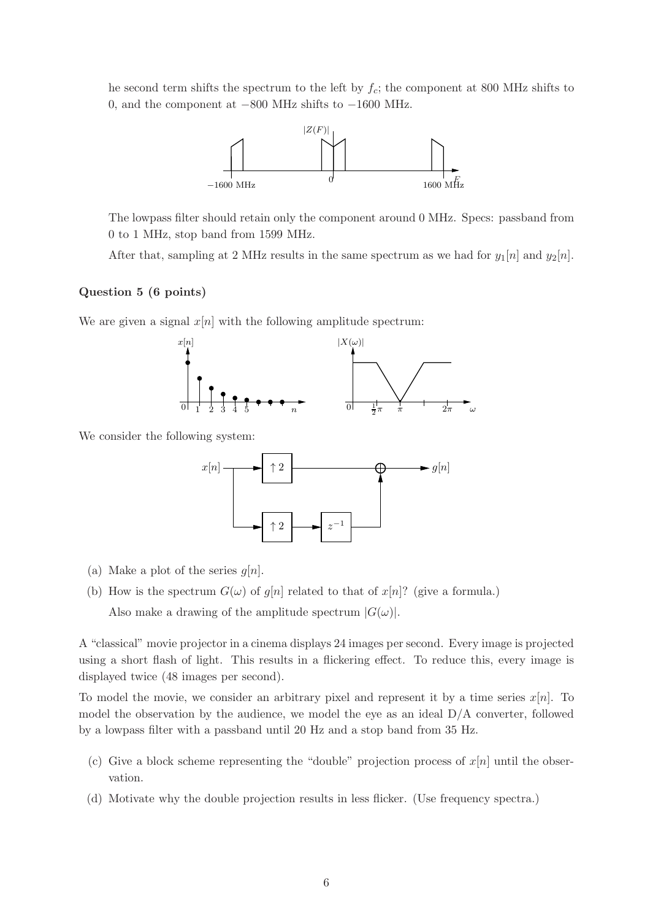he second term shifts the spectrum to the left by  $f_c$ ; the component at 800 MHz shifts to 0, and the component at −800 MHz shifts to −1600 MHz.



The lowpass filter should retain only the component around 0 MHz. Specs: passband from 0 to 1 MHz, stop band from 1599 MHz.

After that, sampling at 2 MHz results in the same spectrum as we had for  $y_1[n]$  and  $y_2[n]$ .

# Question 5 (6 points)

We are given a signal  $x[n]$  with the following amplitude spectrum:



We consider the following system:



- (a) Make a plot of the series  $g[n]$ .
- (b) How is the spectrum  $G(\omega)$  of  $g[n]$  related to that of  $x[n]$ ? (give a formula.) Also make a drawing of the amplitude spectrum  $|G(\omega)|$ .

A "classical" movie projector in a cinema displays 24 images per second. Every image is projected using a short flash of light. This results in a flickering effect. To reduce this, every image is displayed twice (48 images per second).

To model the movie, we consider an arbitrary pixel and represent it by a time series  $x[n]$ . To model the observation by the audience, we model the eye as an ideal D/A converter, followed by a lowpass filter with a passband until 20 Hz and a stop band from 35 Hz.

- (c) Give a block scheme representing the "double" projection process of  $x[n]$  until the observation.
- (d) Motivate why the double projection results in less flicker. (Use frequency spectra.)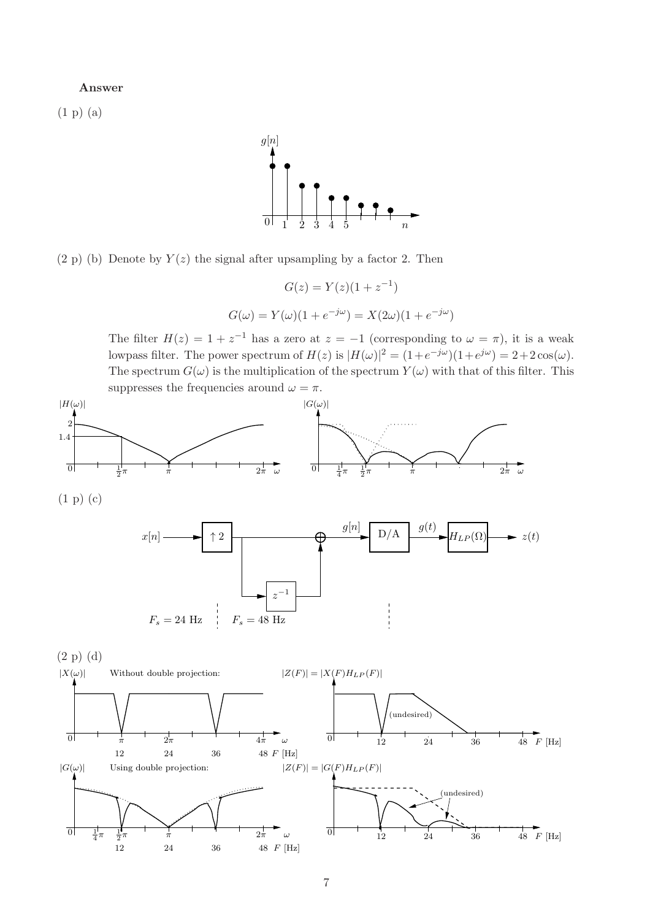#### Answer

(1 p) (a)



 $(2 p)$  (b) Denote by  $Y(z)$  the signal after upsampling by a factor 2. Then

$$
G(z) = Y(z)(1 + z^{-1})
$$
  

$$
G(\omega) = Y(\omega)(1 + e^{-j\omega}) = X(2\omega)(1 + e^{-j\omega})
$$

The filter  $H(z) = 1 + z^{-1}$  has a zero at  $z = -1$  (corresponding to  $\omega = \pi$ ), it is a weak lowpass filter. The power spectrum of  $H(z)$  is  $|H(\omega)|^2 = (1 + e^{-j\omega})(1 + e^{j\omega}) = 2 + 2\cos(\omega)$ . The spectrum  $G(\omega)$  is the multiplication of the spectrum  $Y(\omega)$  with that of this filter. This suppresses the frequencies around  $\omega = \pi$ .